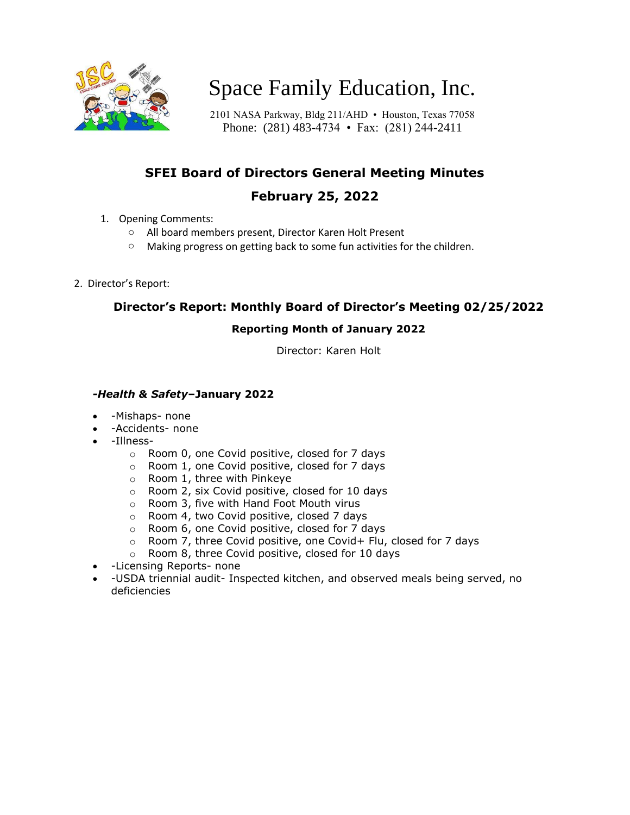

# Space Family Education, Inc.

2101 NASA Parkway, Bldg 211/AHD • Houston, Texas 77058 Phone: (281) 483-4734 • Fax: (281) 244-2411

## **SFEI Board of Directors General Meeting Minutes**

### **February 25, 2022**

- 1. Opening Comments:
	- o All board members present, Director Karen Holt Present
	- o Making progress on getting back to some fun activities for the children.
- 2. Director's Report:

#### **Director's Report: Monthly Board of Director's Meeting 02/25/2022**

#### **Reporting Month of January 2022**

Director: Karen Holt

#### *-Health & Safety***–January 2022**

- -Mishaps- none
- -Accidents- none
- -Illness
	- o Room 0, one Covid positive, closed for 7 days
	- o Room 1, one Covid positive, closed for 7 days
	- o Room 1, three with Pinkeye
	- o Room 2, six Covid positive, closed for 10 days
	- o Room 3, five with Hand Foot Mouth virus
	- o Room 4, two Covid positive, closed 7 days
	- o Room 6, one Covid positive, closed for 7 days
	- $\circ$  Room 7, three Covid positive, one Covid+ Flu, closed for 7 days
	- o Room 8, three Covid positive, closed for 10 days
- -Licensing Reports- none
- -USDA triennial audit- Inspected kitchen, and observed meals being served, no deficiencies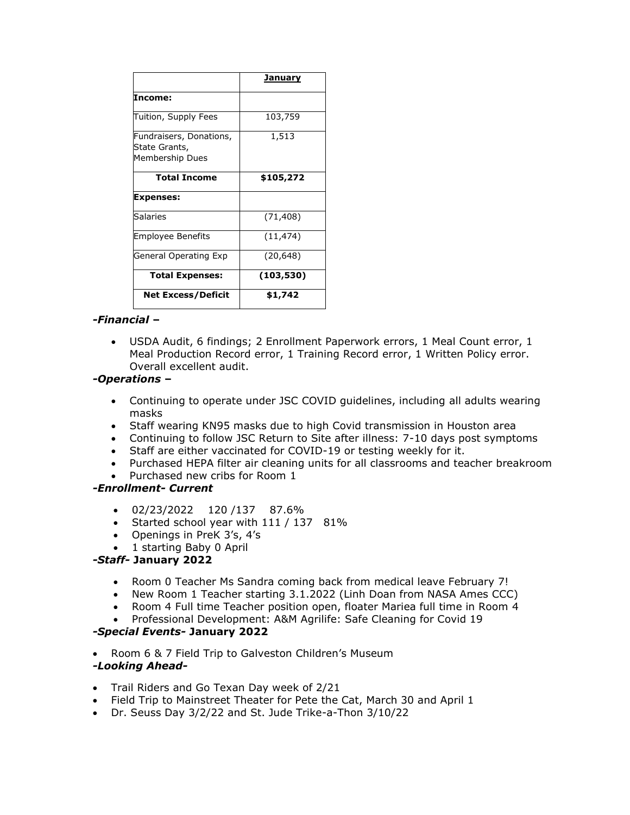|                                                             | <u>January</u> |
|-------------------------------------------------------------|----------------|
| Income:                                                     |                |
| Tuition, Supply Fees                                        | 103,759        |
| Fundraisers, Donations,<br>State Grants,<br>Membership Dues | 1,513          |
| <b>Total Income</b>                                         | \$105,272      |
| <b>Expenses:</b>                                            |                |
| Salaries                                                    | (71, 408)      |
| <b>Employee Benefits</b>                                    | (11, 474)      |
| <b>General Operating Exp</b>                                | (20, 648)      |
| <b>Total Expenses:</b>                                      | (103, 530)     |
| <b>Net Excess/Deficit</b>                                   | \$1,742        |

#### *-Financial* **–**

• USDA Audit, 6 findings; 2 Enrollment Paperwork errors, 1 Meal Count error, 1 Meal Production Record error, 1 Training Record error, 1 Written Policy error. Overall excellent audit.

#### *-Operations* **–**

- Continuing to operate under JSC COVID guidelines, including all adults wearing masks
- Staff wearing KN95 masks due to high Covid transmission in Houston area
- Continuing to follow JSC Return to Site after illness: 7-10 days post symptoms
- Staff are either vaccinated for COVID-19 or testing weekly for it.
- Purchased HEPA filter air cleaning units for all classrooms and teacher breakroom
- Purchased new cribs for Room 1

#### *-Enrollment- Current*

- 02/23/2022 120 /137 87.6%
- Started school year with 111 / 137 81%
- Openings in PreK 3's, 4's
- 1 starting Baby 0 April

#### *-Staff-* **January 2022**

- Room 0 Teacher Ms Sandra coming back from medical leave February 7!
- New Room 1 Teacher starting 3.1.2022 (Linh Doan from NASA Ames CCC)
- Room 4 Full time Teacher position open, floater Mariea full time in Room 4
- Professional Development: A&M Agrilife: Safe Cleaning for Covid 19

#### *-Special Events-* **January 2022**

• Room 6 & 7 Field Trip to Galveston Children's Museum

#### *-Looking Ahead-*

- Trail Riders and Go Texan Day week of 2/21
- Field Trip to Mainstreet Theater for Pete the Cat, March 30 and April 1
- Dr. Seuss Day 3/2/22 and St. Jude Trike-a-Thon 3/10/22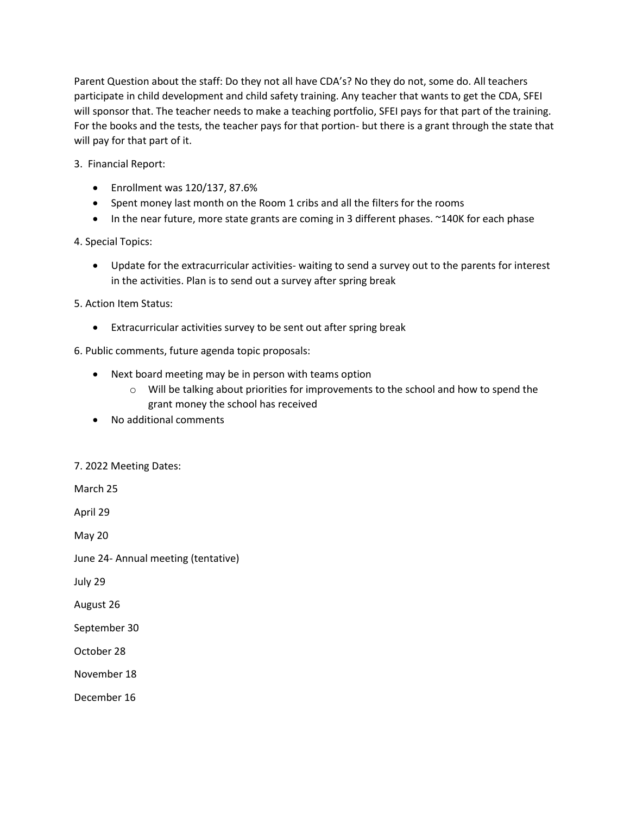Parent Question about the staff: Do they not all have CDA's? No they do not, some do. All teachers participate in child development and child safety training. Any teacher that wants to get the CDA, SFEI will sponsor that. The teacher needs to make a teaching portfolio, SFEI pays for that part of the training. For the books and the tests, the teacher pays for that portion- but there is a grant through the state that will pay for that part of it.

- 3. Financial Report:
	- Enrollment was 120/137, 87.6%
	- Spent money last month on the Room 1 cribs and all the filters for the rooms
	- In the near future, more state grants are coming in 3 different phases. ~140K for each phase

4. Special Topics:

• Update for the extracurricular activities- waiting to send a survey out to the parents for interest in the activities. Plan is to send out a survey after spring break

5. Action Item Status:

- Extracurricular activities survey to be sent out after spring break
- 6. Public comments, future agenda topic proposals:
	- Next board meeting may be in person with teams option
		- $\circ$  Will be talking about priorities for improvements to the school and how to spend the grant money the school has received
	- No additional comments

7. 2022 Meeting Dates:

March 25

April 29

May 20

June 24- Annual meeting (tentative)

July 29

August 26

September 30

October 28

November 18

December 16